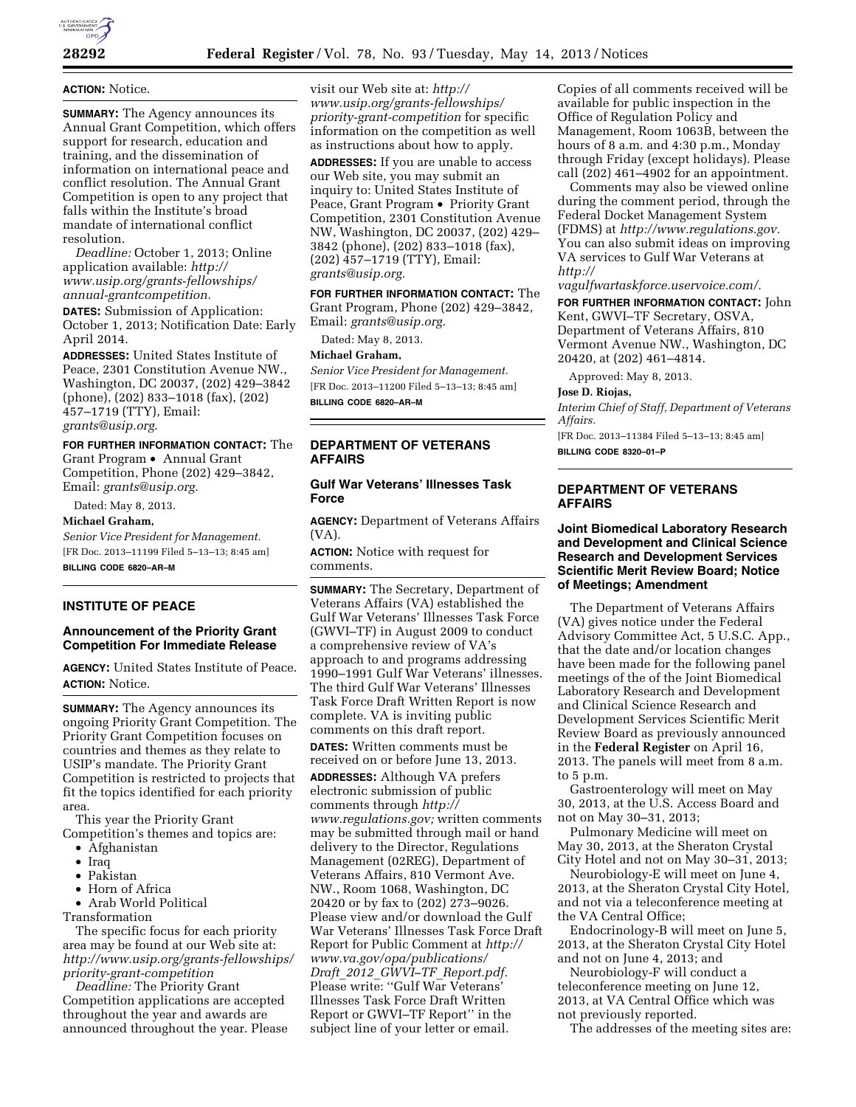

### **ACTION:** Notice.

**SUMMARY:** The Agency announces its Annual Grant Competition, which offers support for research, education and training, and the dissemination of information on international peace and conflict resolution. The Annual Grant Competition is open to any project that falls within the Institute's broad mandate of international conflict resolution.

*Deadline:* October 1, 2013; Online application available: *[http://](http://www.usip.org/grants-fellowships/annual-grantcompetition)  [www.usip.org/grants-fellowships/](http://www.usip.org/grants-fellowships/annual-grantcompetition)  [annual-grantcompetition.](http://www.usip.org/grants-fellowships/annual-grantcompetition)* 

**DATES:** Submission of Application: October 1, 2013; Notification Date: Early April 2014.

**ADDRESSES:** United States Institute of Peace, 2301 Constitution Avenue NW., Washington, DC 20037, (202) 429–3842 (phone), (202) 833–1018 (fax), (202) 457–1719 (TTY), Email: *[grants@usip.org](mailto:grants@usip.org)*.

#### **FOR FURTHER INFORMATION CONTACT:** The

Grant Program • Annual Grant Competition, Phone (202) 429–3842, Email: *[grants@usip.org.](mailto:grants@usip.org)* 

Dated: May 8, 2013.

**Michael Graham,** 

*Senior Vice President for Management.* 

[FR Doc. 2013–11199 Filed 5–13–13; 8:45 am]

**BILLING CODE 6820–AR–M** 

# **INSTITUTE OF PEACE**

# **Announcement of the Priority Grant Competition For Immediate Release**

**AGENCY:** United States Institute of Peace. **ACTION:** Notice.

**SUMMARY:** The Agency announces its ongoing Priority Grant Competition. The Priority Grant Competition focuses on countries and themes as they relate to USIP's mandate. The Priority Grant Competition is restricted to projects that fit the topics identified for each priority area.

This year the Priority Grant Competition's themes and topics are:

• Afghanistan

- Iraq
- Pakistan
- Horn of Africa

• Arab World Political

Transformation The specific focus for each priority area may be found at our Web site at: *[http://www.usip.org/grants-fellowships/](http://www.usip.org/grants-fellowships/priority-grant-competition) [priority-grant-competition](http://www.usip.org/grants-fellowships/priority-grant-competition)* 

*Deadline:* The Priority Grant Competition applications are accepted throughout the year and awards are announced throughout the year. Please visit our Web site at: *[http://](http://www.usip.org/grants-fellowships/priority-grant-competition)  [www.usip.org/grants-fellowships/](http://www.usip.org/grants-fellowships/priority-grant-competition)  [priority-grant-competition](http://www.usip.org/grants-fellowships/priority-grant-competition)* for specific information on the competition as well as instructions about how to apply.

**ADDRESSES:** If you are unable to access our Web site, you may submit an inquiry to: United States Institute of Peace, Grant Program • Priority Grant Competition, 2301 Constitution Avenue NW, Washington, DC 20037, (202) 429– 3842 (phone), (202) 833–1018 (fax), (202) 457–1719 (TTY), Email: *[grants@usip.org.](mailto:grants@usip.org)* 

**FOR FURTHER INFORMATION CONTACT:** The Grant Program, Phone (202) 429–3842, Email: *[grants@usip.org.](mailto:grants@usip.org)* 

Dated: May 8, 2013.

#### **Michael Graham,**

*Senior Vice President for Management.*  [FR Doc. 2013–11200 Filed 5–13–13; 8:45 am]

**BILLING CODE 6820–AR–M** 

### **DEPARTMENT OF VETERANS AFFAIRS**

# **Gulf War Veterans' Illnesses Task Force**

**AGENCY:** Department of Veterans Affairs (VA).

**ACTION:** Notice with request for comments.

**SUMMARY:** The Secretary, Department of Veterans Affairs (VA) established the Gulf War Veterans' Illnesses Task Force (GWVI–TF) in August 2009 to conduct a comprehensive review of VA's approach to and programs addressing 1990–1991 Gulf War Veterans' illnesses. The third Gulf War Veterans' Illnesses Task Force Draft Written Report is now complete. VA is inviting public comments on this draft report.

**DATES:** Written comments must be received on or before June 13, 2013.

**ADDRESSES:** Although VA prefers electronic submission of public comments through *[http://](http://www.regulations.gov) [www.regulations.gov;](http://www.regulations.gov)* written comments may be submitted through mail or hand delivery to the Director, Regulations Management (02REG), Department of Veterans Affairs, 810 Vermont Ave. NW., Room 1068, Washington, DC 20420 or by fax to (202) 273–9026. Please view and/or download the Gulf War Veterans' Illnesses Task Force Draft Report for Public Comment at *[http://](http://www.va.gov/opa/publications/Draft_2012_GWVI-TF_Report.pdf)  [www.va.gov/opa/publications/](http://www.va.gov/opa/publications/Draft_2012_GWVI-TF_Report.pdf)  Draft*\_*2012*\_*GWVI–TF*\_*[Report.pdf.](http://www.va.gov/opa/publications/Draft_2012_GWVI-TF_Report.pdf)*  Please write: "Gulf War Veterans' Illnesses Task Force Draft Written Report or GWVI–TF Report'' in the subject line of your letter or email.

Copies of all comments received will be available for public inspection in the Office of Regulation Policy and Management, Room 1063B, between the hours of 8 a.m. and 4:30 p.m., Monday through Friday (except holidays). Please call  $(202)$  461–4902 for an appointment.

Comments may also be viewed online during the comment period, through the Federal Docket Management System (FDMS) at *[http://www.regulations.gov.](http://www.regulations.gov)*  You can also submit ideas on improving VA services to Gulf War Veterans at *[http://](http://vagulfwartaskforce.uservoice.com/)* 

*[vagulfwartaskforce.uservoice.com/.](http://vagulfwartaskforce.uservoice.com/)* 

**FOR FURTHER INFORMATION CONTACT:** John Kent, GWVI–TF Secretary, OSVA, Department of Veterans Affairs, 810 Vermont Avenue NW., Washington, DC 20420, at (202) 461–4814.

Approved: May 8, 2013.

**Jose D. Riojas,** 

*Interim Chief of Staff, Department of Veterans Affairs.* 

[FR Doc. 2013–11384 Filed 5–13–13; 8:45 am] **BILLING CODE 8320–01–P** 

### **DEPARTMENT OF VETERANS AFFAIRS**

### **Joint Biomedical Laboratory Research and Development and Clinical Science Research and Development Services Scientific Merit Review Board; Notice of Meetings; Amendment**

The Department of Veterans Affairs (VA) gives notice under the Federal Advisory Committee Act, 5 U.S.C. App., that the date and/or location changes have been made for the following panel meetings of the of the Joint Biomedical Laboratory Research and Development and Clinical Science Research and Development Services Scientific Merit Review Board as previously announced in the **Federal Register** on April 16, 2013. The panels will meet from 8 a.m. to 5 p.m.

Gastroenterology will meet on May 30, 2013, at the U.S. Access Board and not on May 30–31, 2013;

Pulmonary Medicine will meet on May 30, 2013, at the Sheraton Crystal City Hotel and not on May 30–31, 2013;

Neurobiology-E will meet on June 4, 2013, at the Sheraton Crystal City Hotel, and not via a teleconference meeting at the VA Central Office;

Endocrinology-B will meet on June 5, 2013, at the Sheraton Crystal City Hotel and not on June 4, 2013; and

Neurobiology-F will conduct a teleconference meeting on June 12, 2013, at VA Central Office which was not previously reported.

The addresses of the meeting sites are: